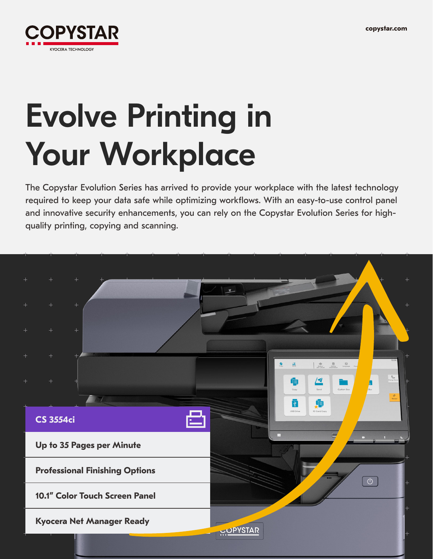

# Evolve Printing in Your Workplace

The Copystar Evolution Series has arrived to provide your workplace with the latest technology required to keep your data safe while optimizing workflows. With an easy-to-use control panel and innovative security enhancements, you can rely on the Copystar Evolution Series for highquality printing, copying and scanning.

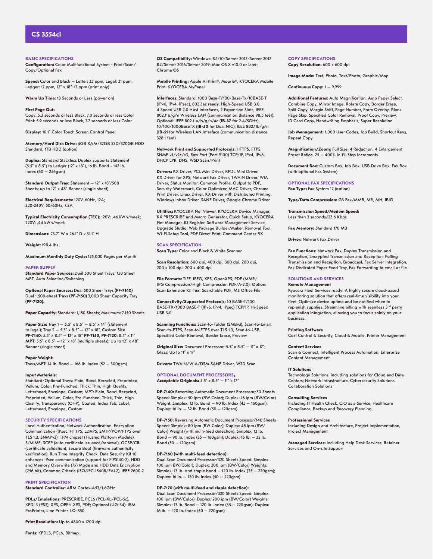# **CS 3554ci**

**BASIC SPECIFICATIONS**

**Configuration:** Color Multifunctional System - Print/Scan/ Copy/Optional Fax

**Speed:** Color and Black – Letter: 35 ppm, Legal: 21 ppm, Ledger: 17 ppm, 12" x 18": 17 ppm (print only)

**Warm Up Time:** 18 Seconds or Less (power on)

**First Page Out:** 

Copy: 5.3 seconds or less Black, 7.0 seconds or less Color Print: 5.9 seconds or less Black, 7.7 seconds or less Color

**Display:** 10.1" Color Touch Screen Control Panel

**Memory/Hard Disk Drive:** 4GB RAM/32GB SSD/320GB HDD Standard, 1TB HDD (option)

**Duplex:** Standard Stackless Duplex supports Statement (5.5" x 8.5") to Ledger (12" x 18"), 16 lb. Bond - 142 lb. Index (60 – 256gsm)

Standard Output Tray: Statement - 12" x 18"/500 Sheets; up to 12" x 48" Banner (single sheet)

**Electrical Requirements:** 120V, 60Hz, 12A; 220-240V, 50/60Hz, 7.2A

**Typical Electricity Consumption (TEC):** 120V: .46 kWh/week; 220V: .44 kWh/week

**Dimensions:** 23.7" W x 26.1" D x 31.1" H

**Weight:** 198.4 lbs

**Maximum Monthly Duty Cycle:** 125,000 Pages per Month

#### **PAPER SUPPLY**

**Standard Paper Sources:** Dual 500 Sheet Trays, 150 Sheet MPT, Auto Selection/Switching

**Optional Paper Sources:** Dual 500 Sheet Trays **(PF-7140)**  Dual 1,500-sheet Trays **(PF-7150)** 3,000 Sheet Capacity Tray **(PF-7120)1**

**Paper Capacity:** Standard: 1,150 Sheets; Maximum: 7,150 Sheets

**Paper Size:** Tray 1 – 5.5" x 8.5" – 8.5" x 14" (statement to legal); Tray  $2 - 5.5'' \times 8.5'' - 12'' \times 18''$ , Custom Size **PF-7140**: 5.5" x 8.5" – 12" x 18" **PF-7150**, **PF-7120**: 8.5" x 11" **MPT**: 5.5" x 8.5" – 12" x 18" (multiple sheets); Up to 12" x 48" Banner (single sheet)

# **Paper Weight:**

Trays/MPT: 14 lb. Bond – 166 lb. Index (52 – 300gsm)

#### **Input Materials:**

Standard/Optional Trays: Plain, Bond, Recycled, Preprinted, Vellum, Color, Pre-Punched, Thick, Thin, High Quality, Letterhead, Envelope, Custom; MPT: Plain, Bond, Recycled, Preprinted, Vellum, Color, Pre-Punched, Thick, Thin, High Quality, Transparency (OHP), Coated, Index Tab, Label, Letterhead, Envelope, Custom

# **SECURITY SPECIFICATIONS**

Local Authentication, Network Authentication, Encryption Communication (IPsec, HTTPS, LDAPS, SMTP/POP/FTPS over TLS 1.3, SNMPv3), TPM chipset (Trusted Platform Module), S/MIME, SCEP (auto certificate issuance/renewal), OCSP/CRL (certificate validation), Secure Boot (firmware authenticity verification), Run Time Integrity Check, Data Security Kit 10 enhances IPsec communication (support for FIPS140-2), HDD and Memory Overwrite (7x) Mode and HDD Data Encryption (256 bit), Common Criteria (ISO/IEC-15408/EAL2), IEEE 2600.2

**PRINT SPECIFICATION**

**Standard Controller:** ARM Cortex-A53/1.6GHz

**PDLs/Emulations:** PRESCRIBE, PCL6 (PCL-XL/PCL-5c), KPDL3 (PS3), XPS, OPEN XPS, PDF; Optional (UG-34): IBM ProPrinter, Line Printer, LQ-850

**Print Resolution:** Up to 4800 x 1200 dpi

**Fonts:** KPDL3, PCL6, Bitmap

**OS Compatibility:** Windows: 8.1/10/Server 2012/Server 2012 R2/Server 2016/Server 2019; Mac OS X v10.0 or later; Chrome OS

**Mobile Printing:** Apple AirPrint®, Mopria®, KYOCERA Mobile Print, KYOCERA MyPanel

**Interfaces:** Standard: 1000 Base-T/100-Base-Tx/10BASE-T (IPv6, IPv4, IPsec), 802.3az ready, High-Speed USB 3.0, 4 Speed USB 2.0 Host Interfaces, 2 Expansion Slots, IEEE 802.11b/g/n Wireless LAN (communication distance 98.5 feet); Optional: IEEE 802.11a/b/g/n/ac (**IB-37** for 2.4/5GHz), 10/100/1000BaseTX (**IB-50** for Dual NIC); IEEE 802.11b/g/n (**IB-51** for Wireless LAN Interface (communication distance 328.1 feet)

**Network Print and Supported Protocols:** HTTPS, FTPS, SNMP v1/v2c/v3, Raw Port (Port 9100) TCP/IP, IPv4, IPv6, DHCP LPR, DNS, WSD Scan/Print

**Drivers:** KX Driver, PCL Mini Driver, KPDL Mini Driver, KX Driver for XPS, Network Fax Driver, TWAIN Driver, WIA Driver, Status Monitor, Common Profile, Output to PDF, Security Watermark, Color Optimizer, MAC Driver, Chrome Print Driver, Linux Driver, KX Driver with Distributed Printing, Windows Inbox Driver, SANE Driver, Google Chrome Driver

**Utilities:** KYOCERA Net Viewer, KYOCERA Device Manager, KX PRESCRIBE and Macro Generator, Quick Setup, KYOCERA Net Manager, ID Register, Software Management Service, Upgrade Studio, Web Package Builder/Maker, Removal Tool, Wi-Fi Setup Tool, PDF Direct Print, Command Center RX

#### **SCAN SPECIFICATION**

**Scan Type:** Color and Black & White Scanner

**Scan Resolution:** 600 dpi, 400 dpi, 300 dpi, 200 dpi, 200 x 100 dpi, 200 x 400 dpi

**File Formats:** TIFF, JPEG, XPS, OpenXPS, PDF (MMR/ JPG Compression/High Compression PDF/A-2.0); Option: Scan Extension Kit Text Searchable PDF; MS Office File

**Connectivity/Supported Protocols:** 10 BASE-T/100 BASE-TX/1000 BASE-T (IPv6, IPv4, IPsec) TCP/IP, Hi-Speed USB 3.0

**Scanning Functions:** Scan-to-Folder (SMBv3), Scan-to-Email, Scan-to-FTPS, Scan-to-FTPS over TLS 1.3, Scan-to-USB, Specified Color Removal, Border Erase, Preview

**Original Size:** Document Processor: 5.5" x 8.5" - 11" x 17"; Glass: Up to 11" x 17"

**Drivers:** TWAIN/WIA/DSM-SANE Driver, WSD Scan

#### **OPTIONAL DOCUMENT PROCESSORS Acceptable Originals:** 5.5" x 8.5" – 11" x 17"

**DP-7140:** Reversing Automatic Document Processor/50 Sheets Speed: Simplex: 50 ipm (BW Color); Duplex: 16 ipm (BW/Color) Weight: Simplex: 13 lb. Bond – 90 lb. Index (45 – 160gsm); Duplex: 16  $\vert$ b. – 32  $\vert$ b. Bond (50 – 120 $\alpha$ sm)

**DP-7150:** Reversing Automatic Document Processor/140 Sheets Speed: Simplex: 80 ipm (BW Color); Duplex: 48 ipm (BW/ Color) Weight (with multi-feed detection): Simplex: 13 lb. Bond – 90 lb. Index (35 – 160gsm); Duplex: 16 lb. – 32 lb. Bond (50 – 120gsm)

# **DP-7160 (with multi-feed detection):**

Dual Scan Document Processor/320 Sheets Speed: Simplex: 100 ipm BW/Color); Duplex: 200 ipm (BW/Color) Weights: Simplex: 13 lb. And staple bond – 120 lb. Index (35 – 220gsm); Duplex: 16 lb. – 120 lb. Index (50 – 220gsm)

## **DP-7170 (with multi-feed and staple detection):**

Dual Scan Document Processor/320 Sheets Speed: Simplex: 100 ipm (BW/Color); Duplex: 200 ipm (BW/Color) Weights: Simplex: 13 lb. Bond – 120 lb. Index (35 – 220gsm); Duplex: 16 lb. – 120 lb. Index (50 – 220gsm)

**COPY SPECIFICATIONS Copy Resolution:** 600 x 600 dpi

**Image Mode:** Text, Photo, Text/Photo, Graphic/Map

**Continuous Copy:** 1 – 9,999

**Additional Features:** Auto Magnification, Auto Paper Select, Combine Copy, Mirror Image, Rotate Copy, Border Erase, Split Copy, Margin Shift, Page Number, Form Overlay, Blank Page Skip, Specified Color Removal, Proof Copy, Preview, ID Card Copy, Handwriting Emphasis, Super Resolution

**Job Management:** 1,000 User Codes, Job Build, Shortcut Keys, Repeat Copy

**Magnification/Zoom:** Full Size, 4 Reduction, 4 Enlargement Preset Ratios, 25 – 400% in 1% Step Increments

**Document Box:** Custom Box, Job Box, USB Drive Box, Fax Box (with optional Fax System)

**OPTIONAL FAX SPECIFICATIONS Fax Type:** Fax System 12 (option)

**Type/Data Compression:** G3 Fax/MMR, MR, MH, JBIG

**Transmission Speed/Modem Speed:** Less than 3 seconds/33.6 Kbps

**Fax Memory:** Standard 170 MB

**Driver:** Network Fax Driver

**Fax Functions:** Network Fax, Duplex Transmission and Reception, Encrypted Transmission and Reception, Polling Transmission and Reception, Broadcast, Fax Server Integration, Fax Dedicated Paper Feed Tray, Fax Forwarding to email or file

## **SOLUTIONS AND SERVICES**

**Remote Management** Kyocera Fleet Services ready! A highly secure cloud-based monitoring solution that offers real-time visibility into your fleet. Optimize device uptime and be notified when to replenish supplies. Streamline billing with seamless 3rd party application integration, allowing you to focus solely on your business.

**Printing Software** Cost Control & Security, Cloud & Mobile, Printer Management

#### **Content Services**

Scan & Connect, Intelligent Process Automation, Enterprise Content Management

#### **IT Solutions**

Technology Solutions, including solutions for Cloud and Data Centers; Network Infrastructure, Cybersecurity Solutions, Collaboration Solutions

#### **Consulting Services**

Including IT Health Check, CIO as a Service, Healthcare Compliance, Backup and Recovery Planning

#### **Professional Services**

Including Design and Architecture, Project Implementation, Project Management

**Managed Services:** Including Help Desk Services, Retainer Services and On-site Support